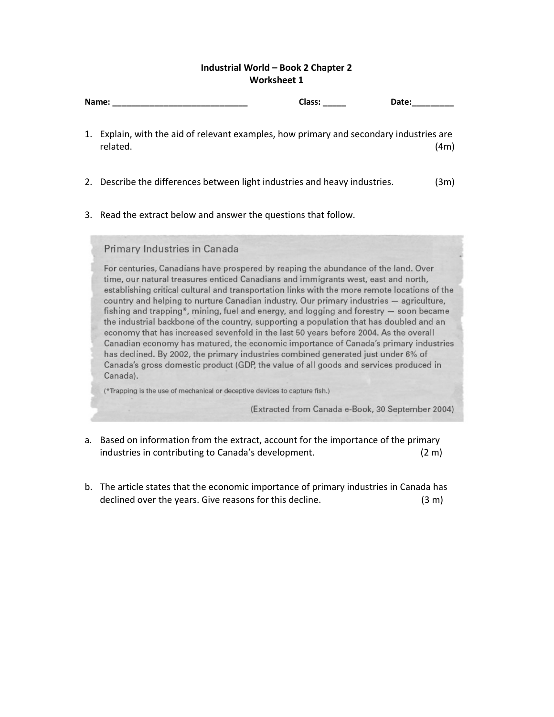## Industrial World – Book 2 Chapter 2 Worksheet 1

|  | <b>Class:</b><br>Name:<br>Date:                                                                                                                                                                                                                                                                                                                                                                                                                                                                                                                                                                                                                                                                                                                                                                                                                                                                                                      |  |  |
|--|--------------------------------------------------------------------------------------------------------------------------------------------------------------------------------------------------------------------------------------------------------------------------------------------------------------------------------------------------------------------------------------------------------------------------------------------------------------------------------------------------------------------------------------------------------------------------------------------------------------------------------------------------------------------------------------------------------------------------------------------------------------------------------------------------------------------------------------------------------------------------------------------------------------------------------------|--|--|
|  | 1. Explain, with the aid of relevant examples, how primary and secondary industries are<br>related.<br>(4m)                                                                                                                                                                                                                                                                                                                                                                                                                                                                                                                                                                                                                                                                                                                                                                                                                          |  |  |
|  | 2. Describe the differences between light industries and heavy industries.<br>(3m)                                                                                                                                                                                                                                                                                                                                                                                                                                                                                                                                                                                                                                                                                                                                                                                                                                                   |  |  |
|  | 3. Read the extract below and answer the questions that follow.                                                                                                                                                                                                                                                                                                                                                                                                                                                                                                                                                                                                                                                                                                                                                                                                                                                                      |  |  |
|  | Primary Industries in Canada                                                                                                                                                                                                                                                                                                                                                                                                                                                                                                                                                                                                                                                                                                                                                                                                                                                                                                         |  |  |
|  | For centuries, Canadians have prospered by reaping the abundance of the land. Over<br>time, our natural treasures enticed Canadians and immigrants west, east and north,<br>establishing critical cultural and transportation links with the more remote locations of the<br>country and helping to nurture Canadian industry. Our primary industries - agriculture,<br>fishing and trapping*, mining, fuel and energy, and logging and forestry — soon became<br>the industrial backbone of the country, supporting a population that has doubled and an<br>economy that has increased sevenfold in the last 50 years before 2004. As the overall<br>Canadian economy has matured, the economic importance of Canada's primary industries<br>has declined. By 2002, the primary industries combined generated just under 6% of<br>Canada's gross domestic product (GDP, the value of all goods and services produced in<br>Canada). |  |  |
|  | (*Trapping is the use of mechanical or deceptive devices to capture fish.)                                                                                                                                                                                                                                                                                                                                                                                                                                                                                                                                                                                                                                                                                                                                                                                                                                                           |  |  |
|  | (Extracted from Canada e-Book, 30 September 2004)                                                                                                                                                                                                                                                                                                                                                                                                                                                                                                                                                                                                                                                                                                                                                                                                                                                                                    |  |  |

- a. Based on information from the extract, account for the importance of the primary industries in contributing to Canada's development. (2 m)
- b. The article states that the economic importance of primary industries in Canada has declined over the years. Give reasons for this decline. (3 m)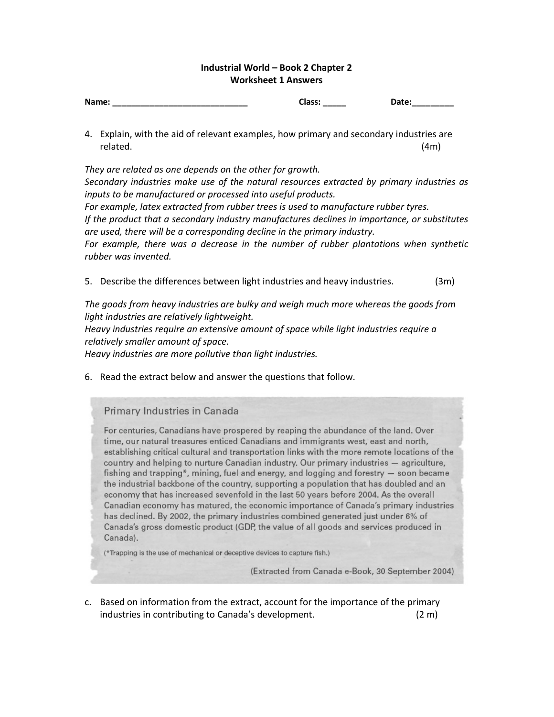## Industrial World – Book 2 Chapter 2 Worksheet 1 Answers

| Name: | Class: | Date: |
|-------|--------|-------|
|       |        |       |
|       |        |       |

4. Explain, with the aid of relevant examples, how primary and secondary industries are related. (4m)

They are related as one depends on the other for growth. Secondary industries make use of the natural resources extracted by primary industries as inputs to be manufactured or processed into useful products. For example, latex extracted from rubber trees is used to manufacture rubber tyres. If the product that a secondary industry manufactures declines in importance, or substitutes are used, there will be a corresponding decline in the primary industry. For example, there was a decrease in the number of rubber plantations when synthetic rubber was invented.

5. Describe the differences between light industries and heavy industries. (3m)

The goods from heavy industries are bulky and weigh much more whereas the goods from light industries are relatively lightweight.

Heavy industries require an extensive amount of space while light industries require a relatively smaller amount of space.

Heavy industries are more pollutive than light industries.

6. Read the extract below and answer the questions that follow.

Primary Industries in Canada

For centuries, Canadians have prospered by reaping the abundance of the land. Over time, our natural treasures enticed Canadians and immigrants west, east and north, establishing critical cultural and transportation links with the more remote locations of the country and helping to nurture Canadian industry. Our primary industries - agriculture, fishing and trapping\*, mining, fuel and energy, and logging and forestry  $-$  soon became the industrial backbone of the country, supporting a population that has doubled and an economy that has increased sevenfold in the last 50 years before 2004. As the overall Canadian economy has matured, the economic importance of Canada's primary industries has declined. By 2002, the primary industries combined generated just under 6% of Canada's gross domestic product (GDP, the value of all goods and services produced in Canada).

(\*Trapping is the use of mechanical or deceptive devices to capture fish.)

(Extracted from Canada e-Book, 30 September 2004)

c. Based on information from the extract, account for the importance of the primary industries in contributing to Canada's development. (2 m)